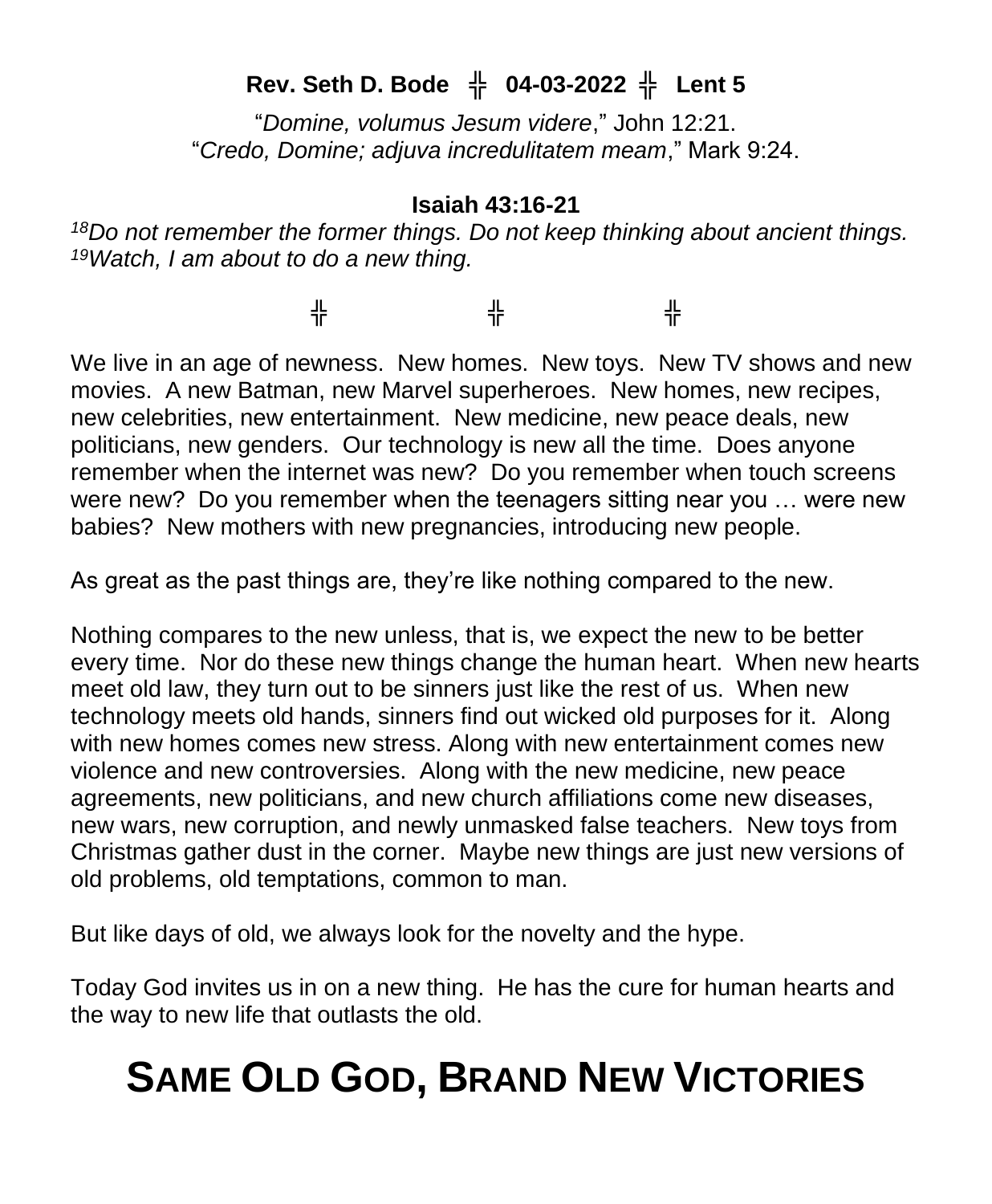# **Rev. Seth D. Bode** ╬ **04-03-2022** ╬ **Lent 5**

"*Domine, volumus Jesum videre*," John 12:21. "*Credo, Domine; adjuva incredulitatem meam*," Mark 9:24.

### **Isaiah 43:16-21**

*<sup>18</sup>Do not remember the former things. Do not keep thinking about ancient things. <sup>19</sup>Watch, I am about to do a new thing.*

╬ ╬ ╬

We live in an age of newness. New homes. New toys. New TV shows and new movies. A new Batman, new Marvel superheroes. New homes, new recipes, new celebrities, new entertainment. New medicine, new peace deals, new politicians, new genders. Our technology is new all the time. Does anyone remember when the internet was new? Do you remember when touch screens were new? Do you remember when the teenagers sitting near you … were new babies? New mothers with new pregnancies, introducing new people.

As great as the past things are, they're like nothing compared to the new.

Nothing compares to the new unless, that is, we expect the new to be better every time. Nor do these new things change the human heart. When new hearts meet old law, they turn out to be sinners just like the rest of us. When new technology meets old hands, sinners find out wicked old purposes for it. Along with new homes comes new stress. Along with new entertainment comes new violence and new controversies. Along with the new medicine, new peace agreements, new politicians, and new church affiliations come new diseases, new wars, new corruption, and newly unmasked false teachers. New toys from Christmas gather dust in the corner. Maybe new things are just new versions of old problems, old temptations, common to man.

But like days of old, we always look for the novelty and the hype.

Today God invites us in on a new thing. He has the cure for human hearts and the way to new life that outlasts the old.

# **SAME OLD GOD, BRAND NEW VICTORIES**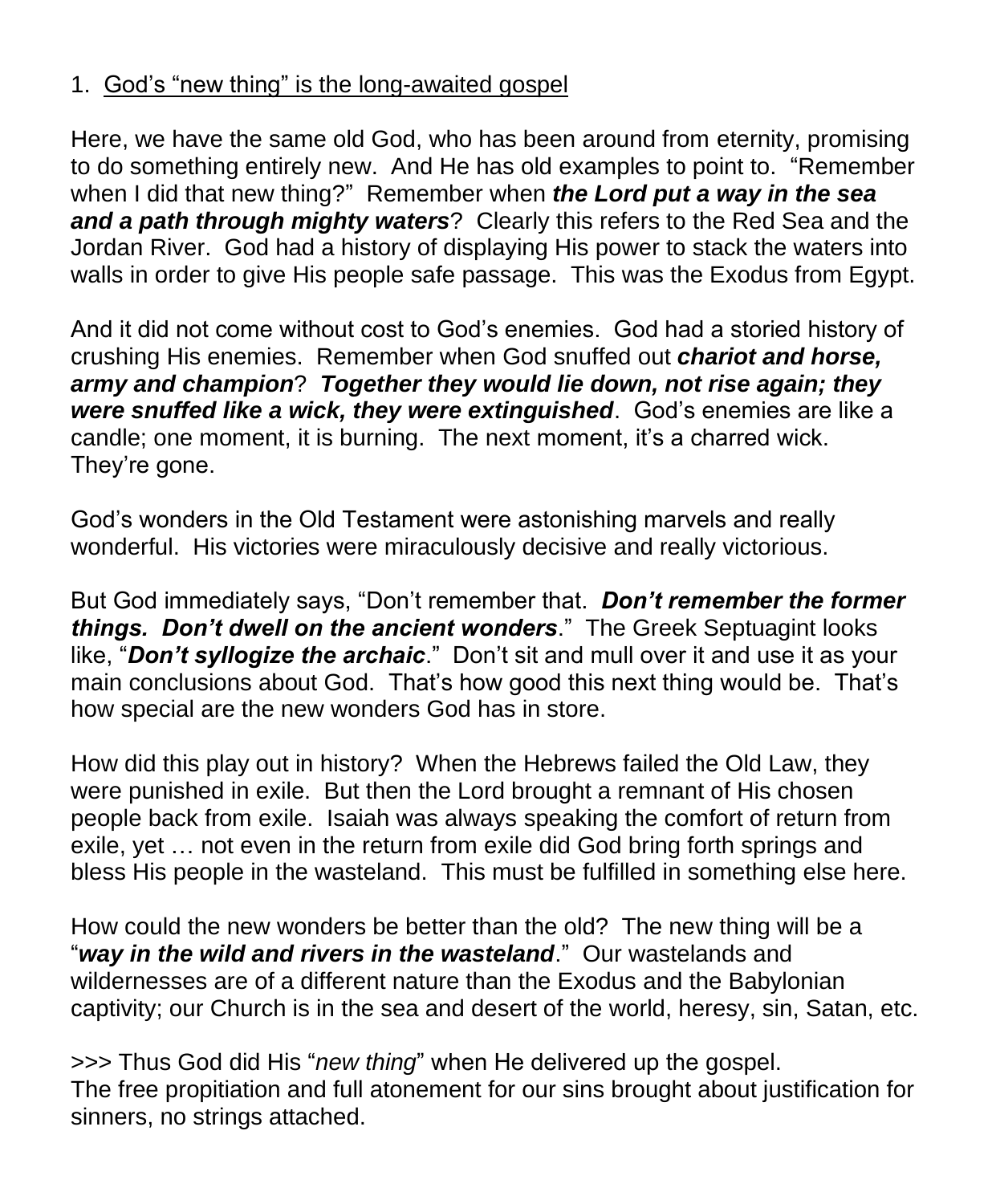## 1. God's "new thing" is the long-awaited gospel

Here, we have the same old God, who has been around from eternity, promising to do something entirely new. And He has old examples to point to. "Remember when I did that new thing?" Remember when *the Lord put a way in the sea and a path through mighty waters*? Clearly this refers to the Red Sea and the Jordan River. God had a history of displaying His power to stack the waters into walls in order to give His people safe passage. This was the Exodus from Egypt.

And it did not come without cost to God's enemies. God had a storied history of crushing His enemies. Remember when God snuffed out *chariot and horse, army and champion*? *Together they would lie down, not rise again; they were snuffed like a wick, they were extinguished*. God's enemies are like a candle; one moment, it is burning. The next moment, it's a charred wick. They're gone.

God's wonders in the Old Testament were astonishing marvels and really wonderful. His victories were miraculously decisive and really victorious.

But God immediately says, "Don't remember that. *Don't remember the former things. Don't dwell on the ancient wonders*." The Greek Septuagint looks like, "*Don't syllogize the archaic*." Don't sit and mull over it and use it as your main conclusions about God. That's how good this next thing would be. That's how special are the new wonders God has in store.

How did this play out in history? When the Hebrews failed the Old Law, they were punished in exile. But then the Lord brought a remnant of His chosen people back from exile. Isaiah was always speaking the comfort of return from exile, yet … not even in the return from exile did God bring forth springs and bless His people in the wasteland. This must be fulfilled in something else here.

How could the new wonders be better than the old? The new thing will be a "*way in the wild and rivers in the wasteland*." Our wastelands and wildernesses are of a different nature than the Exodus and the Babylonian captivity; our Church is in the sea and desert of the world, heresy, sin, Satan, etc.

>>> Thus God did His "*new thing*" when He delivered up the gospel. The free propitiation and full atonement for our sins brought about justification for sinners, no strings attached.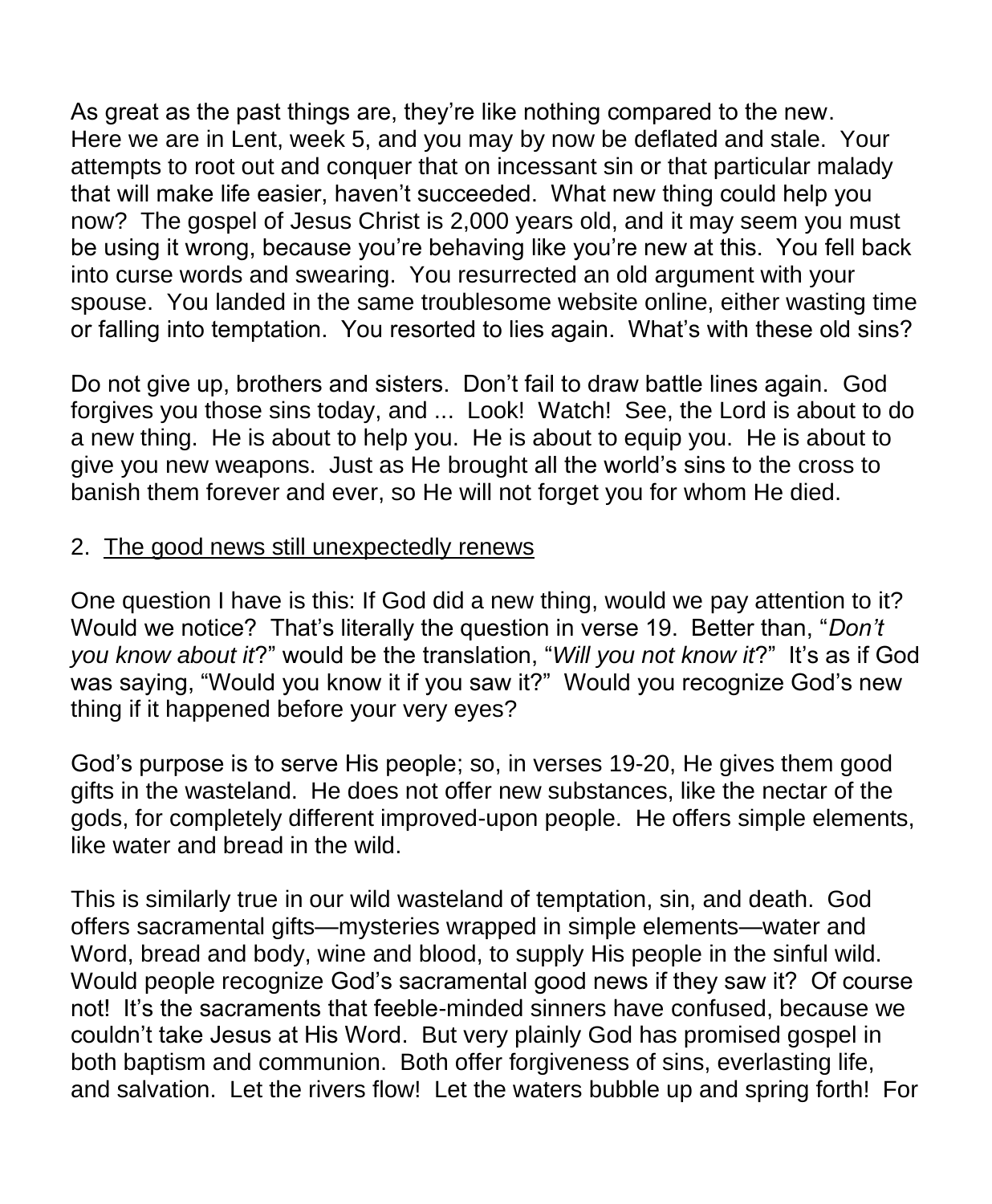As great as the past things are, they're like nothing compared to the new. Here we are in Lent, week 5, and you may by now be deflated and stale. Your attempts to root out and conquer that on incessant sin or that particular malady that will make life easier, haven't succeeded. What new thing could help you now? The gospel of Jesus Christ is 2,000 years old, and it may seem you must be using it wrong, because you're behaving like you're new at this. You fell back into curse words and swearing. You resurrected an old argument with your spouse. You landed in the same troublesome website online, either wasting time or falling into temptation. You resorted to lies again. What's with these old sins?

Do not give up, brothers and sisters. Don't fail to draw battle lines again. God forgives you those sins today, and ... Look! Watch! See, the Lord is about to do a new thing. He is about to help you. He is about to equip you. He is about to give you new weapons. Just as He brought all the world's sins to the cross to banish them forever and ever, so He will not forget you for whom He died.

### 2. The good news still unexpectedly renews

One question I have is this: If God did a new thing, would we pay attention to it? Would we notice? That's literally the question in verse 19. Better than, "*Don't you know about it*?" would be the translation, "*Will you not know it*?" It's as if God was saying, "Would you know it if you saw it?" Would you recognize God's new thing if it happened before your very eyes?

God's purpose is to serve His people; so, in verses 19-20, He gives them good gifts in the wasteland. He does not offer new substances, like the nectar of the gods, for completely different improved-upon people. He offers simple elements, like water and bread in the wild.

This is similarly true in our wild wasteland of temptation, sin, and death. God offers sacramental gifts—mysteries wrapped in simple elements—water and Word, bread and body, wine and blood, to supply His people in the sinful wild. Would people recognize God's sacramental good news if they saw it? Of course not! It's the sacraments that feeble-minded sinners have confused, because we couldn't take Jesus at His Word. But very plainly God has promised gospel in both baptism and communion. Both offer forgiveness of sins, everlasting life, and salvation. Let the rivers flow! Let the waters bubble up and spring forth! For